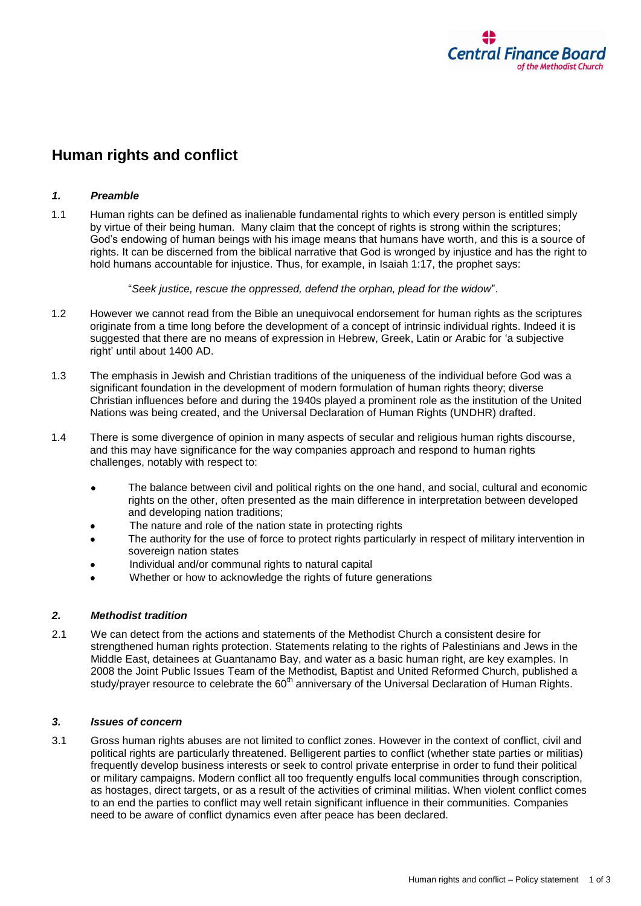

# **Human rights and conflict**

## *1. Preamble*

1.1 Human rights can be defined as inalienable fundamental rights to which every person is entitled simply by virtue of their being human. Many claim that the concept of rights is strong within the scriptures; God's endowing of human beings with his image means that humans have worth, and this is a source of rights. It can be discerned from the biblical narrative that God is wronged by injustice and has the right to hold humans accountable for injustice. Thus, for example, in Isaiah 1:17, the prophet says:

"*Seek justice, rescue the oppressed, defend the orphan, plead for the widow*".

- 1.2 However we cannot read from the Bible an unequivocal endorsement for human rights as the scriptures originate from a time long before the development of a concept of intrinsic individual rights. Indeed it is suggested that there are no means of expression in Hebrew, Greek, Latin or Arabic for 'a subjective right' until about 1400 AD.
- 1.3 The emphasis in Jewish and Christian traditions of the uniqueness of the individual before God was a significant foundation in the development of modern formulation of human rights theory; diverse Christian influences before and during the 1940s played a prominent role as the institution of the United Nations was being created, and the Universal Declaration of Human Rights (UNDHR) drafted.
- 1.4 There is some divergence of opinion in many aspects of secular and religious human rights discourse, and this may have significance for the way companies approach and respond to human rights challenges, notably with respect to:
	- The balance between civil and political rights on the one hand, and social, cultural and economic rights on the other, often presented as the main difference in interpretation between developed and developing nation traditions;
	- The nature and role of the nation state in protecting rights
	- The authority for the use of force to protect rights particularly in respect of military intervention in sovereign nation states
	- Individual and/or communal rights to natural capital
	- Whether or how to acknowledge the rights of future generations

### *2. Methodist tradition*

2.1 We can detect from the actions and statements of the Methodist Church a consistent desire for strengthened human rights protection. Statements relating to the rights of Palestinians and Jews in the Middle East, detainees at Guantanamo Bay, and water as a basic human right, are key examples. In 2008 the Joint Public Issues Team of the Methodist, Baptist and United Reformed Church, published a study/prayer resource to celebrate the 60<sup>th</sup> anniversary of the Universal Declaration of Human Rights.

### *3. Issues of concern*

3.1 Gross human rights abuses are not limited to conflict zones. However in the context of conflict, civil and political rights are particularly threatened. Belligerent parties to conflict (whether state parties or militias) frequently develop business interests or seek to control private enterprise in order to fund their political or military campaigns. Modern conflict all too frequently engulfs local communities through conscription, as hostages, direct targets, or as a result of the activities of criminal militias. When violent conflict comes to an end the parties to conflict may well retain significant influence in their communities. Companies need to be aware of conflict dynamics even after peace has been declared.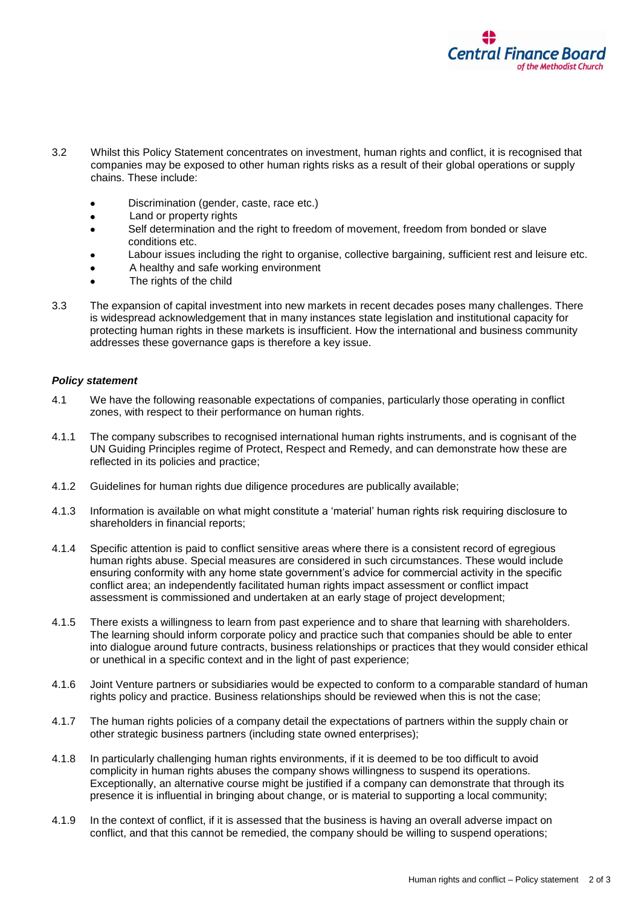

- 3.2 Whilst this Policy Statement concentrates on investment, human rights and conflict, it is recognised that companies may be exposed to other human rights risks as a result of their global operations or supply chains. These include:
	- Discrimination (gender, caste, race etc.)
	- Land or property rights
	- Self determination and the right to freedom of movement, freedom from bonded or slave conditions etc.
	- Labour issues including the right to organise, collective bargaining, sufficient rest and leisure etc.
	- A healthy and safe working environment
	- The rights of the child
- 3.3 The expansion of capital investment into new markets in recent decades poses many challenges. There is widespread acknowledgement that in many instances state legislation and institutional capacity for protecting human rights in these markets is insufficient. How the international and business community addresses these governance gaps is therefore a key issue.

### *Policy statement*

- 4.1 We have the following reasonable expectations of companies, particularly those operating in conflict zones, with respect to their performance on human rights.
- 4.1.1 The company subscribes to recognised international human rights instruments, and is cognisant of the UN Guiding Principles regime of Protect, Respect and Remedy, and can demonstrate how these are reflected in its policies and practice;
- 4.1.2 Guidelines for human rights due diligence procedures are publically available;
- 4.1.3 Information is available on what might constitute a 'material' human rights risk requiring disclosure to shareholders in financial reports;
- 4.1.4 Specific attention is paid to conflict sensitive areas where there is a consistent record of egregious human rights abuse. Special measures are considered in such circumstances. These would include ensuring conformity with any home state government's advice for commercial activity in the specific conflict area; an independently facilitated human rights impact assessment or conflict impact assessment is commissioned and undertaken at an early stage of project development;
- 4.1.5 There exists a willingness to learn from past experience and to share that learning with shareholders. The learning should inform corporate policy and practice such that companies should be able to enter into dialogue around future contracts, business relationships or practices that they would consider ethical or unethical in a specific context and in the light of past experience;
- 4.1.6 Joint Venture partners or subsidiaries would be expected to conform to a comparable standard of human rights policy and practice. Business relationships should be reviewed when this is not the case;
- 4.1.7 The human rights policies of a company detail the expectations of partners within the supply chain or other strategic business partners (including state owned enterprises);
- 4.1.8 In particularly challenging human rights environments, if it is deemed to be too difficult to avoid complicity in human rights abuses the company shows willingness to suspend its operations. Exceptionally, an alternative course might be justified if a company can demonstrate that through its presence it is influential in bringing about change, or is material to supporting a local community;
- 4.1.9 In the context of conflict, if it is assessed that the business is having an overall adverse impact on conflict, and that this cannot be remedied, the company should be willing to suspend operations;